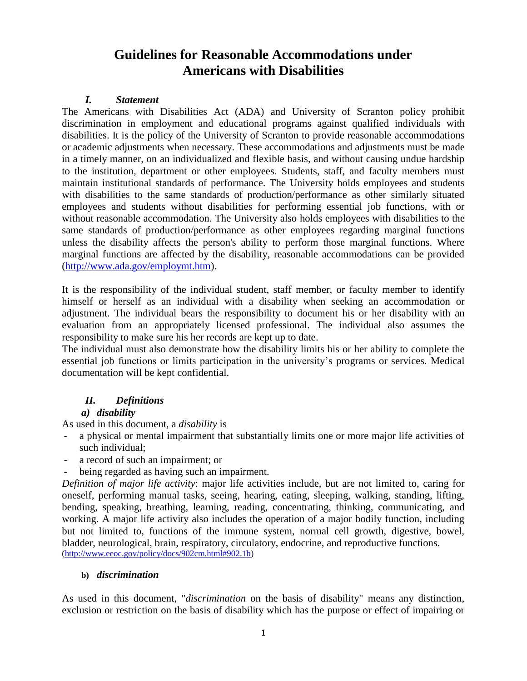# **Guidelines for Reasonable Accommodations under Americans with Disabilities**

#### *I. Statement*

The Americans with Disabilities Act (ADA) and University of Scranton policy prohibit discrimination in employment and educational programs against qualified individuals with disabilities. It is the policy of the University of Scranton to provide reasonable accommodations or academic adjustments when necessary. These accommodations and adjustments must be made in a timely manner, on an individualized and flexible basis, and without causing undue hardship to the institution, department or other employees. Students, staff, and faculty members must maintain institutional standards of performance. The University holds employees and students with disabilities to the same standards of production/performance as other similarly situated employees and students without disabilities for performing essential job functions, with or without reasonable accommodation. The University also holds employees with disabilities to the same standards of production/performance as other employees regarding marginal functions unless the disability affects the person's ability to perform those marginal functions. Where marginal functions are affected by the disability, reasonable accommodations can be provided [\(http://www.ada.gov/employmt.htm\)](http://www.ada.gov/employmt.htm).

It is the responsibility of the individual student, staff member, or faculty member to identify himself or herself as an individual with a disability when seeking an accommodation or adjustment. The individual bears the responsibility to document his or her disability with an evaluation from an appropriately licensed professional. The individual also assumes the responsibility to make sure his her records are kept up to date.

The individual must also demonstrate how the disability limits his or her ability to complete the essential job functions or limits participation in the university's programs or services. Medical documentation will be kept confidential.

## *II. Definitions*

## *a) disability*

As used in this document, a *disability* is

- a physical or mental impairment that substantially limits one or more major life activities of such individual;
- a record of such an impairment; or
- being regarded as having such an impairment.

*Definition of major life activity*: major life activities include, but are not limited to, caring for oneself, performing manual tasks, seeing, hearing, eating, sleeping, walking, standing, lifting, bending, speaking, breathing, learning, reading, concentrating, thinking, communicating, and working. A major life activity also includes the operation of a major bodily function, including but not limited to, functions of the immune system, normal cell growth, digestive, bowel, bladder, neurological, brain, respiratory, circulatory, endocrine, and reproductive functions. [\(http://www.eeoc.gov/policy/docs/902cm.html#902.1b\)](http://www.eeoc.gov/policy/docs/902cm.html#902.1b)

#### **b)** *discrimination*

As used in this document, "*discrimination* on the basis of disability" means any distinction, exclusion or restriction on the basis of disability which has the purpose or effect of impairing or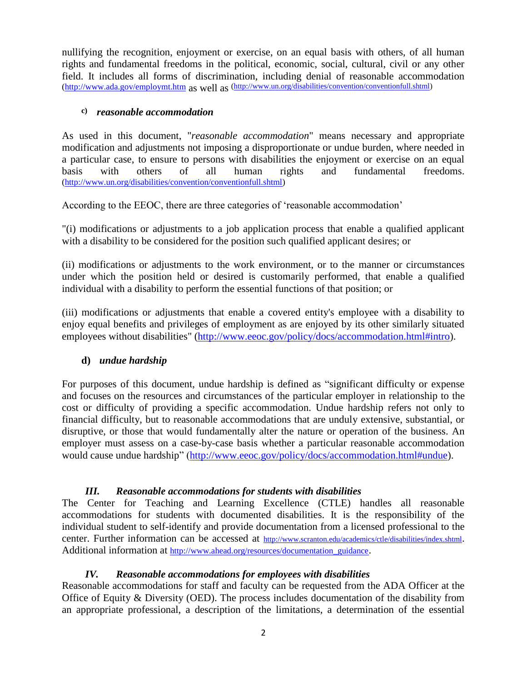nullifying the recognition, enjoyment or exercise, on an equal basis with others, of all human rights and fundamental freedoms in the political, economic, social, cultural, civil or any other field. It includes all forms of discrimination, including denial of reasonable accommodation [\(http://www.ada.gov/employmt.htm](http://www.ada.gov/employmt.htm) as well as [\(http://www.un.org/disabilities/convention/conventionfull.shtml\)](http://www.un.org/disabilities/convention/conventionfull.shtml)

#### **c)** *reasonable accommodation*

As used in this document, "*reasonable accommodation*" means necessary and appropriate modification and adjustments not imposing a disproportionate or undue burden, where needed in a particular case, to ensure to persons with disabilities the enjoyment or exercise on an equal basis with others of all human rights and fundamental freedoms. [\(http://www.un.org/disabilities/convention/conventionfull.shtml\)](http://www.un.org/disabilities/convention/conventionfull.shtml)

According to the EEOC, there are three categories of 'reasonable accommodation'

"(i) modifications or adjustments to a job application process that enable a qualified applicant with a disability to be considered for the position such qualified applicant desires; or

(ii) modifications or adjustments to the work environment, or to the manner or circumstances under which the position held or desired is customarily performed, that enable a qualified individual with a disability to perform the essential functions of that position; or

(iii) modifications or adjustments that enable a covered entity's employee with a disability to enjoy equal benefits and privileges of employment as are enjoyed by its other similarly situated employees without disabilities" [\(http://www.eeoc.gov/policy/docs/accommodation.html#intro\)](http://www.eeoc.gov/policy/docs/accommodation.html#intro).

## **d)** *undue hardship*

For purposes of this document, undue hardship is defined as "significant difficulty or expense and focuses on the resources and circumstances of the particular employer in relationship to the cost or difficulty of providing a specific accommodation. Undue hardship refers not only to financial difficulty, but to reasonable accommodations that are unduly extensive, substantial, or disruptive, or those that would fundamentally alter the nature or operation of the business. An employer must assess on a case-by-case basis whether a particular reasonable accommodation would cause undue hardship" [\(http://www.eeoc.gov/policy/docs/accommodation.html#undue\)](http://www.eeoc.gov/policy/docs/accommodation.html#undue).

## *III. Reasonable accommodations for students with disabilities*

The Center for Teaching and Learning Excellence (CTLE) handles all reasonable accommodations for students with documented disabilities. It is the responsibility of the individual student to self-identify and provide documentation from a licensed professional to the center. Further information can be accessed at <http://www.scranton.edu/academics/ctle/disabilities/index.shtml>. Additional information at [http://www.ahead.org/resources/documentation\\_guidance](http://www.ahead.org/resources/documentation_guidance).

## *IV. Reasonable accommodations for employees with disabilities*

Reasonable accommodations for staff and faculty can be requested from the ADA Officer at the Office of Equity & Diversity (OED). The process includes documentation of the disability from an appropriate professional, a description of the limitations, a determination of the essential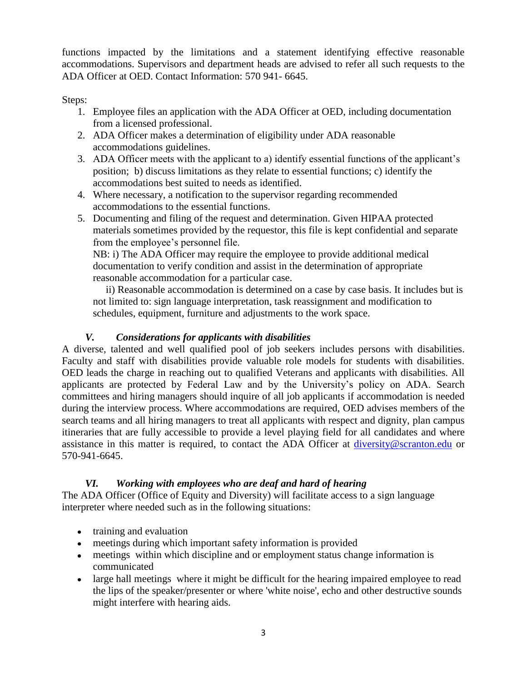functions impacted by the limitations and a statement identifying effective reasonable accommodations. Supervisors and department heads are advised to refer all such requests to the ADA Officer at OED. Contact Information: 570 941- 6645.

Steps:

- 1. Employee files an application with the ADA Officer at OED, including documentation from a licensed professional.
- 2. ADA Officer makes a determination of eligibility under ADA reasonable accommodations guidelines.
- 3. ADA Officer meets with the applicant to a) identify essential functions of the applicant's position; b) discuss limitations as they relate to essential functions; c) identify the accommodations best suited to needs as identified.
- 4. Where necessary, a notification to the supervisor regarding recommended accommodations to the essential functions.
- 5. Documenting and filing of the request and determination. Given HIPAA protected materials sometimes provided by the requestor, this file is kept confidential and separate from the employee's personnel file.

NB: i) The ADA Officer may require the employee to provide additional medical documentation to verify condition and assist in the determination of appropriate reasonable accommodation for a particular case.

 ii) Reasonable accommodation is determined on a case by case basis. It includes but is not limited to: sign language interpretation, task reassignment and modification to schedules, equipment, furniture and adjustments to the work space.

# *V. Considerations for applicants with disabilities*

A diverse, talented and well qualified pool of job seekers includes persons with disabilities. Faculty and staff with disabilities provide valuable role models for students with disabilities. OED leads the charge in reaching out to qualified Veterans and applicants with disabilities. All applicants are protected by Federal Law and by the University's policy on ADA. Search committees and hiring managers should inquire of all job applicants if accommodation is needed during the interview process. Where accommodations are required, OED advises members of the search teams and all hiring managers to treat all applicants with respect and dignity, plan campus itineraries that are fully accessible to provide a level playing field for all candidates and where assistance in this matter is required, to contact the ADA Officer at [diversity@scranton.edu](mailto:diversity@scranton.edu) or 570-941-6645.

## *VI. Working with employees who are deaf and hard of hearing*

The ADA Officer (Office of Equity and Diversity) will facilitate access to a sign language interpreter where needed such as in the following situations:

- training and evaluation
- meetings during which important safety information is provided
- meetings within which discipline and or employment status change information is communicated
- large hall meetings where it might be difficult for the hearing impaired employee to read  $\bullet$ the lips of the speaker/presenter or where 'white noise', echo and other destructive sounds might interfere with hearing aids.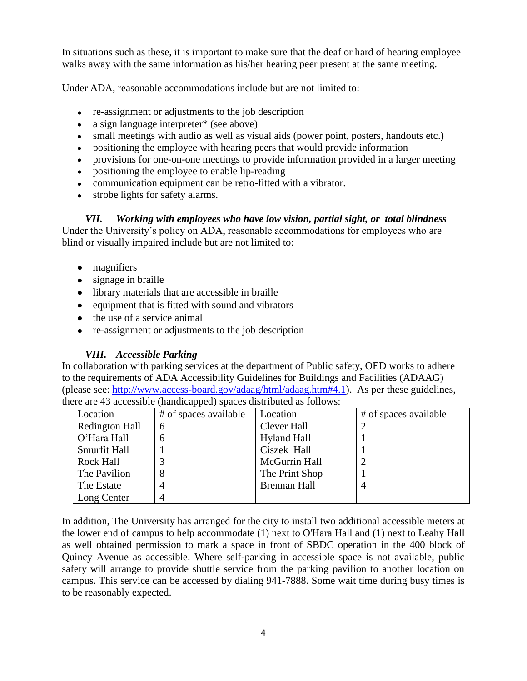In situations such as these, it is important to make sure that the deaf or hard of hearing employee walks away with the same information as his/her hearing peer present at the same meeting.

Under ADA, reasonable accommodations include but are not limited to:

- re-assignment or adjustments to the job description
- a sign language interpreter\* (see above)  $\bullet$
- small meetings with audio as well as visual aids (power point, posters, handouts etc.)
- positioning the employee with hearing peers that would provide information
- provisions for one-on-one meetings to provide information provided in a larger meeting  $\bullet$
- positioning the employee to enable lip-reading
- communication equipment can be retro-fitted with a vibrator.
- strobe lights for safety alarms.

*VII. Working with employees who have low vision, partial sight, or total blindness* Under the University's policy on ADA, reasonable accommodations for employees who are blind or visually impaired include but are not limited to:

- magnifiers
- signage in braille
- library materials that are accessible in braille
- equipment that is fitted with sound and vibrators
- the use of a service animal
- re-assignment or adjustments to the job description

## *VIII. Accessible Parking*

In collaboration with parking services at the department of Public safety, OED works to adhere to the requirements of ADA Accessibility Guidelines for Buildings and Facilities (ADAAG) (please see: [http://www.access-board.gov/adaag/html/adaag.htm#4.1\)](http://www.access-board.gov/adaag/html/adaag.htm#4.1). As per these guidelines, there are 43 accessible (handicapped) spaces distributed as follows:

| Location              | # of spaces available | Location            | # of spaces available |
|-----------------------|-----------------------|---------------------|-----------------------|
| <b>Redington Hall</b> | 6                     | Clever Hall         |                       |
| O'Hara Hall           | 6                     | <b>Hyland Hall</b>  |                       |
| Smurfit Hall          |                       | Ciszek Hall         |                       |
| <b>Rock Hall</b>      |                       | McGurrin Hall       |                       |
| The Pavilion          |                       | The Print Shop      |                       |
| The Estate            | 4                     | <b>Brennan Hall</b> |                       |
| Long Center           |                       |                     |                       |

In addition, The University has arranged for the city to install two additional accessible meters at the lower end of campus to help accommodate (1) next to O'Hara Hall and (1) next to Leahy Hall as well obtained permission to mark a space in front of SBDC operation in the 400 block of Quincy Avenue as accessible. Where self-parking in accessible space is not available, public safety will arrange to provide shuttle service from the parking pavilion to another location on campus. This service can be accessed by dialing 941-7888. Some wait time during busy times is to be reasonably expected.